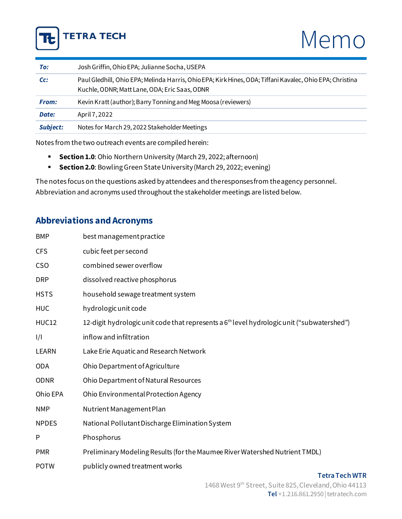

# Memo

| To:             | Josh Griffin, Ohio EPA; Julianne Socha, USEPA                                                                                                             |
|-----------------|-----------------------------------------------------------------------------------------------------------------------------------------------------------|
| Cc:             | Paul Gledhill, Ohio EPA; Melinda Harris, Ohio EPA; Kirk Hines, ODA; Tiffani Kavalec, Ohio EPA; Christina<br>Kuchle, ODNR; Matt Lane, ODA; Eric Saas, ODNR |
| <b>From:</b>    | Kevin Kratt (author); Barry Tonning and Meg Moosa (reviewers)                                                                                             |
| Date:           | April 7, 2022                                                                                                                                             |
| <b>Subject:</b> | Notes for March 29, 2022 Stakeholder Meetings                                                                                                             |

Notes from the two outreach events are compiled herein:

- **Sectio[n 1.0](#page-1-0)**: Ohio Northern University (March 29, 2022; afternoon)
- **Section 2.0**: Bowling Green State University (March 29, 2022; evening)

The notes focus on the questions asked by attendees and the responses from the agency personnel. Abbreviation and acronyms used throughout the stakeholder meetings are listed below.

## **Abbreviations and Acronyms**

| <b>BMP</b>   | best management practice                                                                               |
|--------------|--------------------------------------------------------------------------------------------------------|
| <b>CFS</b>   | cubic feet per second                                                                                  |
| <b>CSO</b>   | combined sewer overflow                                                                                |
| <b>DRP</b>   | dissolved reactive phosphorus                                                                          |
| <b>HSTS</b>  | household sewage treatment system                                                                      |
| <b>HUC</b>   | hydrologic unit code                                                                                   |
| <b>HUC12</b> | 12-digit hydrologic unit code that represents a 6 <sup>th</sup> level hydrologic unit ("subwatershed") |
| 1/1          | inflow and infiltration                                                                                |
| <b>LEARN</b> | Lake Erie Aquatic and Research Network                                                                 |
| <b>ODA</b>   | Ohio Department of Agriculture                                                                         |
| <b>ODNR</b>  | Ohio Department of Natural Resources                                                                   |
| Ohio EPA     | Ohio Environmental Protection Agency                                                                   |
| <b>NMP</b>   | Nutrient Management Plan                                                                               |
| <b>NPDES</b> | National Pollutant Discharge Elimination System                                                        |
| P            | Phosphorus                                                                                             |
| <b>PMR</b>   | Preliminary Modeling Results (for the Maumee River Watershed Nutrient TMDL)                            |
| <b>POTW</b>  | publicly owned treatment works                                                                         |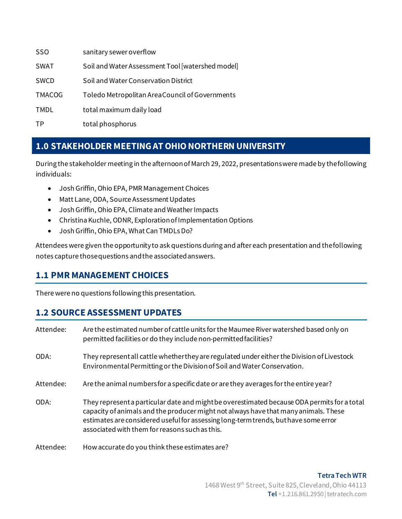| <b>SSO</b>    | sanitary sewer overflow                          |
|---------------|--------------------------------------------------|
| <b>SWAT</b>   | Soil and Water Assessment Tool [watershed model] |
| <b>SWCD</b>   | Soil and Water Conservation District             |
| <b>TMACOG</b> | Toledo Metropolitan Area Council of Governments  |
| TMDL          | total maximum daily load                         |
| TP            | total phosphorus                                 |

# <span id="page-1-0"></span>**1.0 STAKEHOLDER MEETING AT OHIO NORTHERN UNIVERSITY**

During the stakeholder meeting in the afternoon of March 29, 2022, presentations were made by the following individuals:

- Josh Griffin, Ohio EPA, PMR Management Choices
- Matt Lane, ODA, Source Assessment Updates
- Josh Griffin, Ohio EPA, Climate and Weather Impacts
- Christina Kuchle, ODNR, Exploration of Implementation Options
- Josh Griffin, Ohio EPA, What Can TMDLs Do?

Attendees were given the opportunity to ask questions during and after each presentation and the following notes capture those questions and the associated answers.

## **1.1 PMR MANAGEMENT CHOICES**

There were no questions following this presentation.

#### **1.2 SOURCE ASSESSMENT UPDATES**

| Attendee: | Are the estimated number of cattle units for the Maumee River watershed based only on<br>permitted facilities or do they include non-permitted facilities?                                                                                                                                                                  |
|-----------|-----------------------------------------------------------------------------------------------------------------------------------------------------------------------------------------------------------------------------------------------------------------------------------------------------------------------------|
| ODA:      | They represent all cattle whether they are regulated under either the Division of Livestock<br>Environmental Permitting or the Division of Soil and Water Conservation.                                                                                                                                                     |
| Attendee: | Are the animal numbers for a specific date or are they averages for the entire year?                                                                                                                                                                                                                                        |
| ODA:      | They represent a particular date and might be overestimated because ODA permits for a total<br>capacity of animals and the producer might not always have that many animals. These<br>estimates are considered useful for assessing long-term trends, but have some error<br>associated with them for reasons such as this. |
| Attendee: | How accurate do you think these estimates are?                                                                                                                                                                                                                                                                              |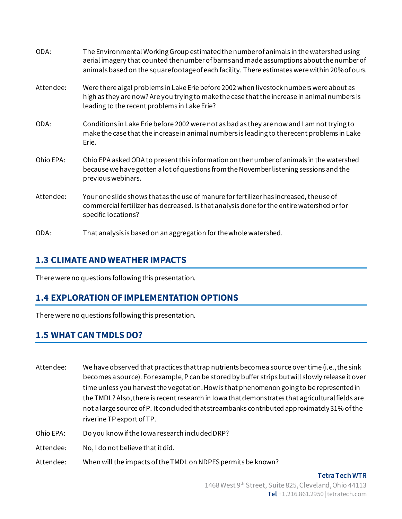| ODA:      | The Environmental Working Group estimated the number of animals in the watershed using<br>aerial imagery that counted the number of barns and made assumptions about the number of<br>animals based on the squarefootage of each facility. There estimates were within 20% of ours. |
|-----------|-------------------------------------------------------------------------------------------------------------------------------------------------------------------------------------------------------------------------------------------------------------------------------------|
| Attendee: | Were there algal problems in Lake Erie before 2002 when livestock numbers were about as<br>high as they are now? Are you trying to make the case that the increase in animal numbers is<br>leading to the recent problems in Lake Erie?                                             |
| ODA:      | Conditions in Lake Erie before 2002 were not as bad as they are now and I am not trying to<br>make the case that the increase in animal numbers is leading to the recent problems in Lake<br>Erie.                                                                                  |
| Ohio EPA: | Ohio EPA asked ODA to present this information on the number of animals in the watershed<br>because we have gotten a lot of questions from the November listening sessions and the<br>previous webinars.                                                                            |
| Attendee: | Your one slide shows that as the use of manure for fertilizer has increased, theuse of<br>commercial fertilizer has decreased. Is that analysis done for the entire watershed or for<br>specific locations?                                                                         |
| ODA:      | That analysis is based on an aggregation for the whole watershed.                                                                                                                                                                                                                   |

#### **1.3 CLIMATE AND WEATHER IMPACTS**

There were no questions following this presentation.

#### **1.4 EXPLORATION OF IMPLEMENTATION OPTIONS**

There were no questions following this presentation.

#### **1.5 WHAT CAN TMDLS DO?**

- Attendee: We have observed that practices that trap nutrients become a source over time (i.e., the sink becomes a source). For example, P can be stored by buffer strips but will slowly release it over time unless you harvest the vegetation. How is that phenomenon going to be represented in the TMDL? Also, there is recent research in Iowa that demonstrates that agricultural fields are not a large source of P. It concluded that streambanks contributed approximately 31% of the riverine TP export of TP.
- Ohio EPA: Do you know if the Iowa research included DRP?
- Attendee: No, I do not believe that it did.
- Attendee: When will the impacts of the TMDL on NDPES permits be known?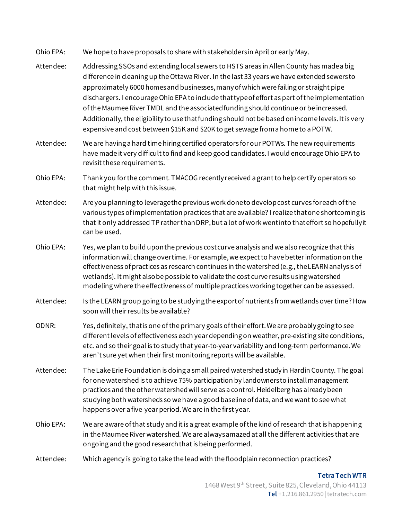Ohio EPA: We hope to have proposals to share with stakeholders in April or early May.

- Attendee: Addressing SSOs and extending local sewers to HSTS areas in Allen County has made a big difference in cleaning up the Ottawa River. In the last 33 years we have extended sewers to approximately 6000 homes and businesses, many of which were failing or straight pipe dischargers. I encourage Ohio EPA to include that type of effort as part of the implementation of the Maumee River TMDL and the associated funding should continue or be increased. Additionally, the eligibility to use that funding should not be based on income levels. It is very expensive and cost between \$15K and \$20K to get sewage from a home to a POTW.
- Attendee: We are having a hard time hiring certified operators for our POTWs. The new requirements have made it very difficult to find and keep good candidates. I would encourage Ohio EPA to revisit these requirements.
- Ohio EPA: Thank you for the comment. TMACOG recently received a grant to help certify operators so that might help with this issue.
- Attendee: Are you planning to leverage the previous work done to develop cost curves for each of the various types of implementation practices that are available? I realize that one shortcoming is that it only addressed TP rather than DRP, but a lot of work went into that effort so hopefully it can be used.
- Ohio EPA: Yes, we plan to build upon the previous cost curve analysis and we also recognize that this information will change over time. For example, we expect to have better information on the effectiveness of practices as research continues in the watershed (e.g., the LEARN analysis of wetlands). It might also be possible to validate the cost curve results using watershed modeling where the effectiveness of multiple practices working together can be assessed.
- Attendee: Is the LEARN group going to be studying the export of nutrients from wetlands over time? How soon will their results be available?
- ODNR: Yes, definitely, that is one of the primary goals of their effort. We are probably going to see different levels of effectiveness each year depending on weather, pre-existing site conditions, etc. and so their goal is to study that year-to-year variability and long-term performance. We aren't sure yet when their first monitoring reports will be available.
- Attendee: The Lake Erie Foundation is doing a small paired watershed study in Hardin County. The goal for one watershed is to achieve 75% participation by landowners to install management practices and the other watershed will serve as a control. Heidelberg has already been studying both watersheds so we have a good baseline of data, and we want to see what happens over a five-year period. We are in the first year.
- Ohio EPA: We are aware of that study and it is a great example of the kind of research that is happening in the Maumee River watershed. We are always amazed at all the different activities that are ongoing and the good research that is being performed.
- Attendee: Which agency is going to take the lead with the floodplain reconnection practices?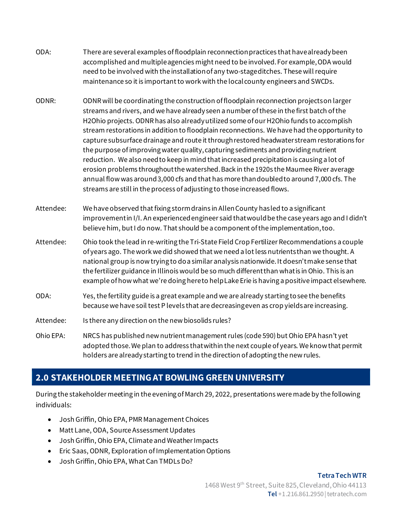- ODA: There are several examples of floodplain reconnection practices that have already been accomplished and multiple agencies might need to be involved.For example, ODA would need to be involved with the installation of any two-stage ditches. These will require maintenance so it is important to work with the local county engineers and SWCDs.
- ODNR: ODNR will be coordinating the construction of floodplain reconnection projects on larger streams and rivers, and we have already seen a number of these in the first batch of the H2Ohio projects. ODNR has also already utilized some of our H2Ohio funds to accomplish stream restorations in addition to floodplain reconnections. We have had the opportunity to capture subsurface drainage and route it through restored headwater stream restorations for the purpose of improving water quality, capturing sediments and providing nutrient reduction. We also need to keep in mind that increased precipitation is causing a lot of erosion problems throughout the watershed. Back in the 1920s the Maumee River average annual flow was around 3,000 cfs and that has more than doubled to around 7,000 cfs. The streams are still in the process of adjusting to those increased flows.
- Attendee: We have observed that fixing storm drains in Allen County has led to a significant improvement in I/I. An experienced engineer said that would be the case years ago and I didn't believe him, but I do now. That should be a component of the implementation, too.
- Attendee: Ohio took the lead in re-writing the Tri-State Field Crop Fertilizer Recommendations a couple of years ago. The work we did showed that we need a lot less nutrients than we thought. A national group is now trying to do a similar analysis nationwide. It doesn't make sense that the fertilizer guidance in Illinois would be so much different than what is in Ohio. This is an example of how what we're doing here to help Lake Erie is having a positive impact elsewhere.
- ODA: Yes, the fertility guide is a great example and we are already starting to see the benefits because we have soil test P levels that are decreasing even as crop yields are increasing.
- Attendee: Is there any direction on the new biosolids rules?
- Ohio EPA: NRCS has published new nutrient management rules (code 590) but Ohio EPA hasn't yet adopted those. We plan to address that within the next couple of years. We know that permit holders are already starting to trend in the direction of adopting the new rules.

# **2.0 STAKEHOLDER MEETING AT BOWLING GREEN UNIVERSITY**

During the stakeholder meeting in the evening of March 29, 2022, presentations were made by the following individuals:

- Josh Griffin, Ohio EPA, PMR Management Choices
- Matt Lane, ODA, Source Assessment Updates
- Josh Griffin, Ohio EPA, Climate and Weather Impacts
- Eric Saas, ODNR, Exploration of Implementation Options
- Josh Griffin, Ohio EPA, What Can TMDLs Do?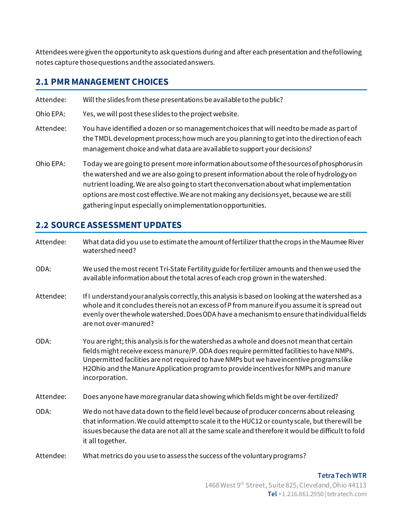Attendees were given the opportunity to ask questions during and after each presentation and the following notes capture those questions and the associated answers.

## **2.1 PMR MANAGEMENT CHOICES**

Attendee: Will the slides from these presentations be available to the public? Ohio EPA: Yes, we will post these slides to the project website. Attendee: You have identified a dozen or so management choices that will need to be made as part of the TMDL development process; how much are you planning to get into the direction of each management choice and what data are available to support your decisions? Ohio EPA: Today we are going to present more information about some of the sources of phosphorus in the watershed and we are also going to present information about the role of hydrology on

nutrient loading. We are also going to start the conversation about what implementation options are most cost effective. We are not making any decisions yet, because we are still gathering input especially on implementation opportunities.

# **2.2 SOURCE ASSESSMENT UPDATES**

| Attendee: | What data did you use to estimate the amount of fertilizer that the crops in the Maumee River<br>watershed need?                                                                                                                                                                                                                                                                           |
|-----------|--------------------------------------------------------------------------------------------------------------------------------------------------------------------------------------------------------------------------------------------------------------------------------------------------------------------------------------------------------------------------------------------|
| ODA:      | We used the most recent Tri-State Fertility guide for fertilizer amounts and then we used the<br>available information about the total acres of each crop grown in the watershed.                                                                                                                                                                                                          |
| Attendee: | If I understand your analysis correctly, this analysis is based on looking at the watershed as a<br>whole and it concludes there is not an excess of P from manure if you assume it is spread out<br>evenly over the whole watershed. Does ODA have a mechanism to ensure that individual fields<br>are not over-manured?                                                                  |
| ODA:      | You are right; this analysis is for the watershed as a whole and doesnot meanthat certain<br>fields might receive excess manure/P. ODA does require permitted facilities to have NMPs.<br>Unpermitted facilities are not required to have NMPs but we have incentive programslike<br>H2Ohio and the Manure Application program to provide incentives for NMPs and manure<br>incorporation. |
| Attendee: | Does anyone have more granular data showing which fields might be over-fertilized?                                                                                                                                                                                                                                                                                                         |
| ODA:      | We do not have data down to the field level because of producer concerns about releasing<br>that information. We could attempt to scale it to the HUC12 or county scale, but there will be<br>issues because the data are not all at the same scale and therefore it would be difficult to fold<br>it all together.                                                                        |
| Attendee: | What metrics do you use to assess the success of the voluntary programs?                                                                                                                                                                                                                                                                                                                   |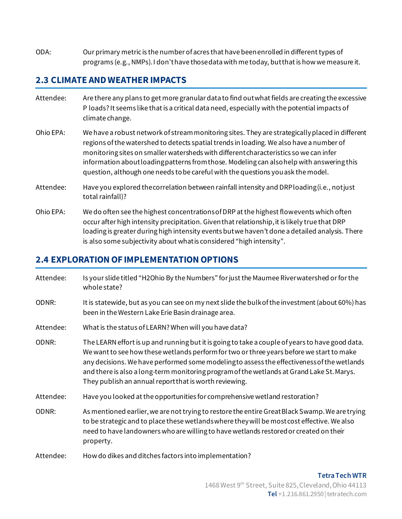ODA: Our primary metric is the number of acres that have been enrolled in different types of programs (e.g., NMPs). I don't have those data with me today, but that is how we measure it.

#### **2.3 CLIMATE AND WEATHER IMPACTS**

- Attendee: Are there any plans to get more granular data to find out what fields are creating the excessive P loads? It seems like that is a critical data need, especially with the potential impacts of climate change.
- Ohio EPA: We have a robust network of stream monitoring sites. They are strategically placed in different regions of the watershed to detects spatial trends in loading. We also have a number of monitoring sites on smaller watersheds with different characteristics so we can infer information about loading patterns from those. Modeling can also help with answering this question, although one needs to be careful with the questions you ask the model.
- Attendee: Have you explored the correlation between rainfall intensity and DRP loading (i.e., not just total rainfall)?
- Ohio EPA: We do often see the highest concentrations of DRP at the highest flow events which often occur after high intensity precipitation. Given that relationship, it is likely true that DRP loading is greater during high intensity events but we haven't done a detailed analysis. There is also some subjectivity about what is considered "high intensity".

#### **2.4 EXPLORATION OF IMPLEMENTATION OPTIONS**

| Attendee: | Is your slide titled "H2Ohio By the Numbers" for just the Maumee River watershed or for the<br>whole state?                                                                                                                                                                                                                                                                                                                                     |
|-----------|-------------------------------------------------------------------------------------------------------------------------------------------------------------------------------------------------------------------------------------------------------------------------------------------------------------------------------------------------------------------------------------------------------------------------------------------------|
| ODNR:     | It is statewide, but as you can see on my next slide the bulk of the investment (about 60%) has<br>been in the Western Lake Erie Basin drainage area.                                                                                                                                                                                                                                                                                           |
| Attendee: | What is the status of LEARN? When will you have data?                                                                                                                                                                                                                                                                                                                                                                                           |
| ODNR:     | The LEARN effort is up and running but it is going to take a couple of years to have good data.<br>We want to see how these wetlands perform for two or three years before we start to make<br>any decisions. We have performed some modelingto assess the effectiveness of the wetlands<br>and there is also a long-term monitoring program of the wetlands at Grand Lake St. Marys.<br>They publish an annual report that is worth reviewing. |
| Attendee: | Have you looked at the opportunities for comprehensive wetland restoration?                                                                                                                                                                                                                                                                                                                                                                     |
| ODNR:     | As mentioned earlier, we are not trying to restore the entire Great Black Swamp. We are trying<br>to be strategic and to place these wetlands where they will be most cost effective. We also<br>need to have landowners who are willing to have wetlands restored or created on their<br>property.                                                                                                                                             |
| Attendee: | How do dikes and ditches factors into implementation?                                                                                                                                                                                                                                                                                                                                                                                           |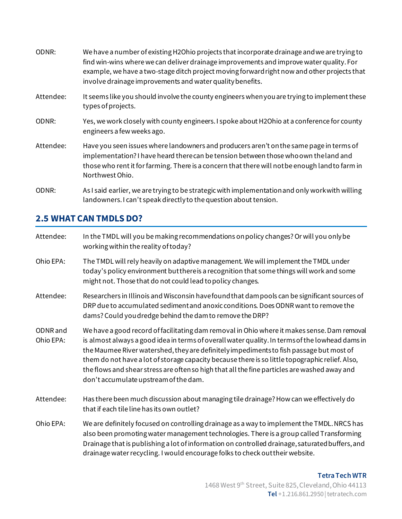| ODNR:     | We have a number of existing H2Ohio projects that incorporate drainage and we are trying to<br>find win-wins where we can deliver drainage improvements and improve water quality. For<br>example, we have a two-stage ditch project moving forward right now and other projects that<br>involve drainage improvements and water quality benefits. |
|-----------|----------------------------------------------------------------------------------------------------------------------------------------------------------------------------------------------------------------------------------------------------------------------------------------------------------------------------------------------------|
| Attendee: | It seems like you should involve the county engineers when you are trying to implement these<br>types of projects.                                                                                                                                                                                                                                 |
| ODNR:     | Yes, we work closely with county engineers. I spoke about H2Ohio at a conference for county<br>engineers a few weeks ago.                                                                                                                                                                                                                          |
| Attendee: | Have you seen issues where landowners and producers aren't on the same page in terms of<br>implementation? I have heard therecan be tension between those who own the land and<br>those who rent it for farming. There is a concern that there will not be enough land to farm in<br>Northwest Ohio.                                               |
| ODNR:     | As I said earlier, we are trying to be strategic with implementation and only work with willing<br>landowners. I can't speak directly to the question about tension.                                                                                                                                                                               |

## **2.5 WHAT CAN TMDLS DO?**

| Attendee:             | In the TMDL will you be making recommendations on policy changes? Or will you only be<br>working within the reality of today?                                                                                                                                                                                                                                                                                                                                                                                                        |
|-----------------------|--------------------------------------------------------------------------------------------------------------------------------------------------------------------------------------------------------------------------------------------------------------------------------------------------------------------------------------------------------------------------------------------------------------------------------------------------------------------------------------------------------------------------------------|
| Ohio EPA:             | The TMDL will rely heavily on adaptive management. We will implement the TMDL under<br>today's policy environment but there is a recognition that some things will work and some<br>might not. Those that do not could lead to policy changes.                                                                                                                                                                                                                                                                                       |
| Attendee:             | Researchers in Illinois and Wisconsin havefound that dam pools can be significant sources of<br>DRP due to accumulated sediment and anoxic conditions. Does ODNR want to remove the<br>dams? Could you dredge behind the dam to remove the DRP?                                                                                                                                                                                                                                                                                      |
| ODNR and<br>Ohio EPA: | We have a good record of facilitating dam removal in Ohio where it makes sense. Dam removal<br>is almost always a good idea in terms of overall water quality. In terms of the lowhead dams in<br>the Maumee River watershed, they are definitely impediments to fish passage but most of<br>them do not have a lot of storage capacity because there is so little topographic relief. Also,<br>the flows and shear stress are oftenso high that all the fine particles are washed away and<br>don't accumulate upstream of the dam. |
| Attendee:             | Has there been much discussion about managing tile drainage? How can we effectively do<br>that if each tile line has its own outlet?                                                                                                                                                                                                                                                                                                                                                                                                 |
| Ohio EPA:             | We are definitely focused on controlling drainage as a way to implement the TMDL. NRCS has<br>also been promoting water management technologies. There is a group called Transforming<br>Drainage that is publishing a lot of information on controlled drainage, saturated buffers, and<br>drainage water recycling. I would encourage folks to check out their website.                                                                                                                                                            |